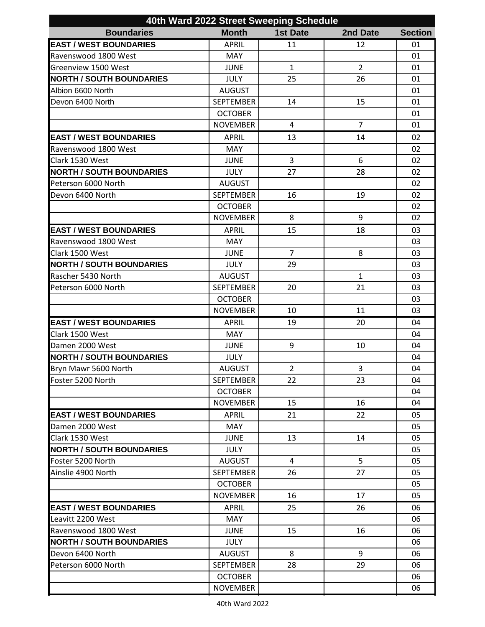| 40th Ward 2022 Street Sweeping Schedule |                  |                 |                |                |  |  |  |
|-----------------------------------------|------------------|-----------------|----------------|----------------|--|--|--|
| <b>Boundaries</b>                       | <b>Month</b>     | <b>1st Date</b> | 2nd Date       | <b>Section</b> |  |  |  |
| <b>EAST / WEST BOUNDARIES</b>           | <b>APRIL</b>     | 11              | 12             | 01             |  |  |  |
| Ravenswood 1800 West                    | <b>MAY</b>       |                 |                | 01             |  |  |  |
| Greenview 1500 West                     | <b>JUNE</b>      | $\mathbf{1}$    | $\overline{2}$ | 01             |  |  |  |
| <b>NORTH / SOUTH BOUNDARIES</b>         | <b>JULY</b>      | 25              | 26             | 01             |  |  |  |
| Albion 6600 North                       | <b>AUGUST</b>    |                 |                | 01             |  |  |  |
| Devon 6400 North                        | <b>SEPTEMBER</b> | 14              | 15             | 01             |  |  |  |
|                                         | <b>OCTOBER</b>   |                 |                | 01             |  |  |  |
|                                         | <b>NOVEMBER</b>  | 4               | $\overline{7}$ | 01             |  |  |  |
| <b>EAST / WEST BOUNDARIES</b>           | <b>APRIL</b>     | 13              | 14             | 02             |  |  |  |
| Ravenswood 1800 West                    | <b>MAY</b>       |                 |                | 02             |  |  |  |
| Clark 1530 West                         | <b>JUNE</b>      | 3               | 6              | 02             |  |  |  |
| <b>NORTH / SOUTH BOUNDARIES</b>         | <b>JULY</b>      | 27              | 28             | 02             |  |  |  |
| Peterson 6000 North                     | <b>AUGUST</b>    |                 |                | 02             |  |  |  |
| Devon 6400 North                        | <b>SEPTEMBER</b> | 16              | 19             | 02             |  |  |  |
|                                         | <b>OCTOBER</b>   |                 |                | 02             |  |  |  |
|                                         | <b>NOVEMBER</b>  | 8               | 9              | 02             |  |  |  |
| <b>EAST / WEST BOUNDARIES</b>           | <b>APRIL</b>     | 15              | 18             | 03             |  |  |  |
| Ravenswood 1800 West                    | <b>MAY</b>       |                 |                | 03             |  |  |  |
| Clark 1500 West                         | <b>JUNE</b>      | $\overline{7}$  | 8              | 03             |  |  |  |
| <b>NORTH / SOUTH BOUNDARIES</b>         | <b>JULY</b>      | 29              |                | 03             |  |  |  |
| Rascher 5430 North                      | <b>AUGUST</b>    |                 | $\mathbf{1}$   | 03             |  |  |  |
| Peterson 6000 North                     | <b>SEPTEMBER</b> | 20              | 21             | 03             |  |  |  |
|                                         | <b>OCTOBER</b>   |                 |                | 03             |  |  |  |
|                                         | <b>NOVEMBER</b>  | 10              | 11             | 03             |  |  |  |
| <b>EAST / WEST BOUNDARIES</b>           | <b>APRIL</b>     | 19              | 20             | 04             |  |  |  |
| Clark 1500 West                         | <b>MAY</b>       |                 |                | 04             |  |  |  |
| Damen 2000 West                         | <b>JUNE</b>      | 9               | 10             | 04             |  |  |  |
| <b>NORTH / SOUTH BOUNDARIES</b>         | <b>JULY</b>      |                 |                | 04             |  |  |  |
| Bryn Mawr 5600 North                    | <b>AUGUST</b>    | $\overline{2}$  | 3              | 04             |  |  |  |
| Foster 5200 North                       | <b>SEPTEMBER</b> | 22              | 23             | 04             |  |  |  |
|                                         | <b>OCTOBER</b>   |                 |                | 04             |  |  |  |
|                                         | <b>NOVEMBER</b>  | 15              | 16             | 04             |  |  |  |
| <b>EAST / WEST BOUNDARIES</b>           | <b>APRIL</b>     | 21              | 22             | 05             |  |  |  |
| Damen 2000 West                         | <b>MAY</b>       |                 |                | 05             |  |  |  |
| Clark 1530 West                         | <b>JUNE</b>      | 13              | 14             | 05             |  |  |  |
| <b>NORTH / SOUTH BOUNDARIES</b>         | <b>JULY</b>      |                 |                | 05             |  |  |  |
| Foster 5200 North                       | <b>AUGUST</b>    | $\overline{4}$  | 5              | 05             |  |  |  |
| Ainslie 4900 North                      | <b>SEPTEMBER</b> | 26              | 27             | 05             |  |  |  |
|                                         | <b>OCTOBER</b>   |                 |                | 05             |  |  |  |
|                                         | <b>NOVEMBER</b>  | 16              | 17             | 05             |  |  |  |
| <b>EAST / WEST BOUNDARIES</b>           | <b>APRIL</b>     | 25              | 26             | 06             |  |  |  |
| Leavitt 2200 West                       | MAY              |                 |                | 06             |  |  |  |
| Ravenswood 1800 West                    | <b>JUNE</b>      | 15              | 16             | 06             |  |  |  |
| <b>NORTH / SOUTH BOUNDARIES</b>         | <b>JULY</b>      |                 |                | 06             |  |  |  |
| Devon 6400 North                        | <b>AUGUST</b>    | 8               | 9              | 06             |  |  |  |
| Peterson 6000 North                     | <b>SEPTEMBER</b> | 28              | 29             | 06             |  |  |  |
|                                         | <b>OCTOBER</b>   |                 |                | 06             |  |  |  |
|                                         | <b>NOVEMBER</b>  |                 |                | 06             |  |  |  |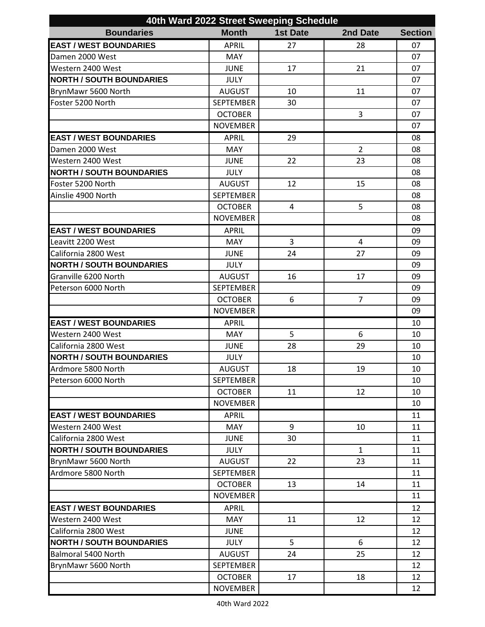| 40th Ward 2022 Street Sweeping Schedule |                  |                 |                |                |  |  |
|-----------------------------------------|------------------|-----------------|----------------|----------------|--|--|
| <b>Boundaries</b>                       | <b>Month</b>     | <b>1st Date</b> | 2nd Date       | <b>Section</b> |  |  |
| <b>EAST / WEST BOUNDARIES</b>           | <b>APRIL</b>     | 27              | 28             | 07             |  |  |
| Damen 2000 West                         | <b>MAY</b>       |                 |                | 07             |  |  |
| Western 2400 West                       | <b>JUNE</b>      | 17              | 21             | 07             |  |  |
| <b>NORTH / SOUTH BOUNDARIES</b>         | <b>JULY</b>      |                 |                | 07             |  |  |
| BrynMawr 5600 North                     | <b>AUGUST</b>    | 10              | 11             | 07             |  |  |
| Foster 5200 North                       | <b>SEPTEMBER</b> | 30              |                | 07             |  |  |
|                                         | <b>OCTOBER</b>   |                 | 3              | 07             |  |  |
|                                         | <b>NOVEMBER</b>  |                 |                | 07             |  |  |
| <b>EAST / WEST BOUNDARIES</b>           | <b>APRIL</b>     | 29              |                | 08             |  |  |
| Damen 2000 West                         | MAY              |                 | $\overline{2}$ | 08             |  |  |
| Western 2400 West                       | <b>JUNE</b>      | 22              | 23             | 08             |  |  |
| <b>NORTH / SOUTH BOUNDARIES</b>         | <b>JULY</b>      |                 |                | 08             |  |  |
| Foster 5200 North                       | <b>AUGUST</b>    | 12              | 15             | 08             |  |  |
| Ainslie 4900 North                      | <b>SEPTEMBER</b> |                 |                | 08             |  |  |
|                                         | <b>OCTOBER</b>   | 4               | 5              | 08             |  |  |
|                                         | <b>NOVEMBER</b>  |                 |                | 08             |  |  |
| <b>EAST / WEST BOUNDARIES</b>           | <b>APRIL</b>     |                 |                | 09             |  |  |
| Leavitt 2200 West                       | <b>MAY</b>       | 3               | 4              | 09             |  |  |
| California 2800 West                    | <b>JUNE</b>      | 24              | 27             | 09             |  |  |
| <b>NORTH / SOUTH BOUNDARIES</b>         | <b>JULY</b>      |                 |                | 09             |  |  |
| Granville 6200 North                    | <b>AUGUST</b>    | 16              | 17             | 09             |  |  |
| Peterson 6000 North                     | <b>SEPTEMBER</b> |                 |                | 09             |  |  |
|                                         | <b>OCTOBER</b>   | 6               | $\overline{7}$ | 09             |  |  |
|                                         | <b>NOVEMBER</b>  |                 |                | 09             |  |  |
| <b>EAST / WEST BOUNDARIES</b>           | <b>APRIL</b>     |                 |                | 10             |  |  |
| Western 2400 West                       | <b>MAY</b>       | 5               | 6              | 10             |  |  |
| California 2800 West                    | <b>JUNE</b>      | 28              | 29             | 10             |  |  |
| <b>NORTH / SOUTH BOUNDARIES</b>         | JULY             |                 |                | 10             |  |  |
| Ardmore 5800 North                      | <b>AUGUST</b>    | 18              | 19             | 10             |  |  |
| Peterson 6000 North                     | <b>SEPTEMBER</b> |                 |                | 10             |  |  |
|                                         | <b>OCTOBER</b>   | 11              | 12             | 10             |  |  |
|                                         | <b>NOVEMBER</b>  |                 |                | 10             |  |  |
| <b>EAST / WEST BOUNDARIES</b>           | <b>APRIL</b>     |                 |                | 11             |  |  |
| Western 2400 West                       | <b>MAY</b>       | 9               | 10             | 11             |  |  |
| California 2800 West                    | <b>JUNE</b>      | 30              |                | 11             |  |  |
| <b>NORTH / SOUTH BOUNDARIES</b>         | <b>JULY</b>      |                 | $\mathbf{1}$   | 11             |  |  |
| BrynMawr 5600 North                     | <b>AUGUST</b>    | 22              | 23             | 11             |  |  |
| Ardmore 5800 North                      | <b>SEPTEMBER</b> |                 |                | 11             |  |  |
|                                         | <b>OCTOBER</b>   | 13              | 14             | 11             |  |  |
|                                         | <b>NOVEMBER</b>  |                 |                | 11             |  |  |
| <b>EAST / WEST BOUNDARIES</b>           | <b>APRIL</b>     |                 |                | 12             |  |  |
| Western 2400 West                       | MAY              | 11              | 12             | 12             |  |  |
| California 2800 West                    | <b>JUNE</b>      |                 |                | 12             |  |  |
| <b>NORTH / SOUTH BOUNDARIES</b>         | <b>JULY</b>      | 5               | 6              | 12             |  |  |
| Balmoral 5400 North                     | <b>AUGUST</b>    | 24              | 25             | 12             |  |  |
| BrynMawr 5600 North                     | <b>SEPTEMBER</b> |                 |                | 12             |  |  |
|                                         | <b>OCTOBER</b>   | 17              | 18             | 12             |  |  |
|                                         | <b>NOVEMBER</b>  |                 |                | 12             |  |  |